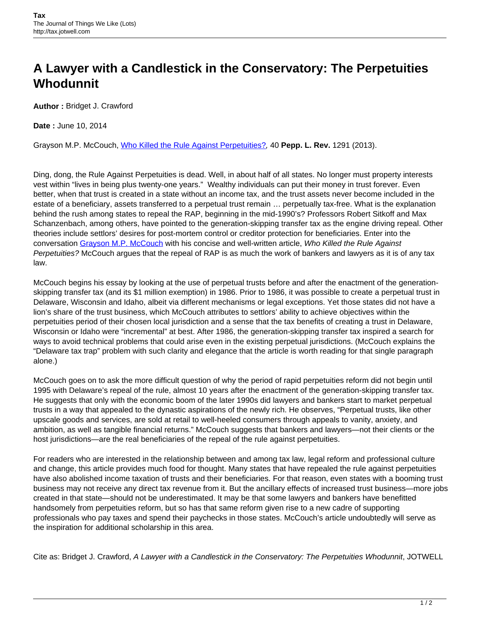## **A Lawyer with a Candlestick in the Conservatory: The Perpetuities Whodunnit**

**Author :** Bridget J. Crawford

**Date :** June 10, 2014

Grayson M.P. McCouch, [Who Killed the Rule Against Perpetuities?](http://digitalcommons.pepperdine.edu/cgi/viewcontent.cgi?article=2320&context=plr), 40 **Pepp. L. Rev.** 1291 (2013).

Ding, dong, the Rule Against Perpetuities is dead. Well, in about half of all states. No longer must property interests vest within "lives in being plus twenty-one years." Wealthy individuals can put their money in trust forever. Even better, when that trust is created in a state without an income tax, and the trust assets never become included in the estate of a beneficiary, assets transferred to a perpetual trust remain … perpetually tax-free. What is the explanation behind the rush among states to repeal the RAP, beginning in the mid-1990's? Professors Robert Sitkoff and Max Schanzenbach, among others, have pointed to the generation-skipping transfer tax as the engine driving repeal. Other theories include settlors' desires for post-mortem control or creditor protection for beneficiaries. Enter into the conversation [Grayson M.P. McCouch](http://www.law.ufl.edu/faculty/grayson-mccouch) with his concise and well-written article, Who Killed the Rule Against Perpetuities? McCouch argues that the repeal of RAP is as much the work of bankers and lawyers as it is of any tax law.

McCouch begins his essay by looking at the use of perpetual trusts before and after the enactment of the generationskipping transfer tax (and its \$1 million exemption) in 1986. Prior to 1986, it was possible to create a perpetual trust in Delaware, Wisconsin and Idaho, albeit via different mechanisms or legal exceptions. Yet those states did not have a lion's share of the trust business, which McCouch attributes to settlors' ability to achieve objectives within the perpetuities period of their chosen local jurisdiction and a sense that the tax benefits of creating a trust in Delaware, Wisconsin or Idaho were "incremental" at best. After 1986, the generation-skipping transfer tax inspired a search for ways to avoid technical problems that could arise even in the existing perpetual jurisdictions. (McCouch explains the "Delaware tax trap" problem with such clarity and elegance that the article is worth reading for that single paragraph alone.)

McCouch goes on to ask the more difficult question of why the period of rapid perpetuities reform did not begin until 1995 with Delaware's repeal of the rule, almost 10 years after the enactment of the generation-skipping transfer tax. He suggests that only with the economic boom of the later 1990s did lawyers and bankers start to market perpetual trusts in a way that appealed to the dynastic aspirations of the newly rich. He observes, "Perpetual trusts, like other upscale goods and services, are sold at retail to well-heeled consumers through appeals to vanity, anxiety, and ambition, as well as tangible financial returns." McCouch suggests that bankers and lawyers—not their clients or the host jurisdictions—are the real beneficiaries of the repeal of the rule against perpetuities.

For readers who are interested in the relationship between and among tax law, legal reform and professional culture and change, this article provides much food for thought. Many states that have repealed the rule against perpetuities have also abolished income taxation of trusts and their beneficiaries. For that reason, even states with a booming trust business may not receive any direct tax revenue from it. But the ancillary effects of increased trust business—more jobs created in that state—should not be underestimated. It may be that some lawyers and bankers have benefitted handsomely from perpetuities reform, but so has that same reform given rise to a new cadre of supporting professionals who pay taxes and spend their paychecks in those states. McCouch's article undoubtedly will serve as the inspiration for additional scholarship in this area.

Cite as: Bridget J. Crawford, A Lawyer with a Candlestick in the Conservatory: The Perpetuities Whodunnit, JOTWELL